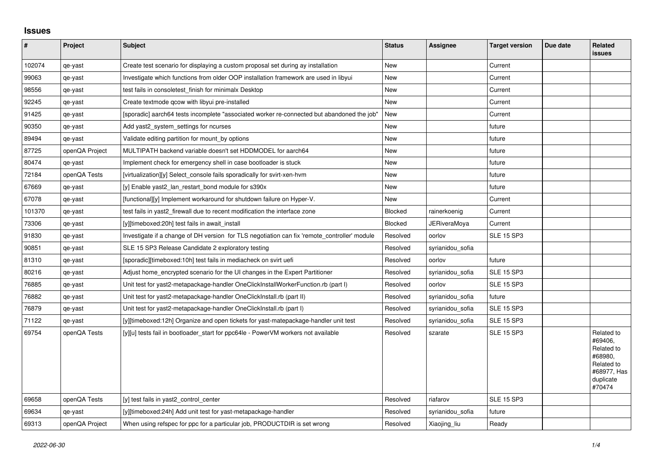## **Issues**

| $\pmb{\#}$ | Project        | Subject                                                                                      | <b>Status</b>  | <b>Assignee</b>     | <b>Target version</b> | Due date | Related<br><b>issues</b>                                                                           |
|------------|----------------|----------------------------------------------------------------------------------------------|----------------|---------------------|-----------------------|----------|----------------------------------------------------------------------------------------------------|
| 102074     | qe-yast        | Create test scenario for displaying a custom proposal set during ay installation             | New            |                     | Current               |          |                                                                                                    |
| 99063      | qe-yast        | Investigate which functions from older OOP installation framework are used in libyui         | New            |                     | Current               |          |                                                                                                    |
| 98556      | qe-yast        | test fails in consoletest_finish for minimalx Desktop                                        | New            |                     | Current               |          |                                                                                                    |
| 92245      | qe-yast        | Create textmode gcow with libyui pre-installed                                               | New            |                     | Current               |          |                                                                                                    |
| 91425      | qe-yast        | [sporadic] aarch64 tests incomplete "associated worker re-connected but abandoned the job"   | New            |                     | Current               |          |                                                                                                    |
| 90350      | qe-yast        | Add yast2 system settings for ncurses                                                        | New            |                     | future                |          |                                                                                                    |
| 89494      | qe-yast        | Validate editing partition for mount by options                                              | <b>New</b>     |                     | future                |          |                                                                                                    |
| 87725      | openQA Project | MULTIPATH backend variable doesn't set HDDMODEL for aarch64                                  | <b>New</b>     |                     | future                |          |                                                                                                    |
| 80474      | qe-yast        | Implement check for emergency shell in case bootloader is stuck                              | <b>New</b>     |                     | future                |          |                                                                                                    |
| 72184      | openQA Tests   | [virtualization][y] Select_console fails sporadically for svirt-xen-hvm                      | <b>New</b>     |                     | future                |          |                                                                                                    |
| 67669      | qe-yast        | [y] Enable yast2 lan restart bond module for s390x                                           | <b>New</b>     |                     | future                |          |                                                                                                    |
| 67078      | qe-yast        | [functional][y] Implement workaround for shutdown failure on Hyper-V.                        | New            |                     | Current               |          |                                                                                                    |
| 101370     | qe-yast        | test fails in yast2 firewall due to recent modification the interface zone                   | <b>Blocked</b> | rainerkoenig        | Current               |          |                                                                                                    |
| 73306      | qe-yast        | [y][timeboxed:20h] test fails in await install                                               | <b>Blocked</b> | <b>JERiveraMoya</b> | Current               |          |                                                                                                    |
| 91830      | qe-yast        | Investigate if a change of DH version for TLS negotiation can fix 'remote controller' module | Resolved       | oorlov              | <b>SLE 15 SP3</b>     |          |                                                                                                    |
| 90851      | qe-yast        | SLE 15 SP3 Release Candidate 2 exploratory testing                                           | Resolved       | syrianidou_sofia    |                       |          |                                                                                                    |
| 81310      | qe-yast        | [sporadic][timeboxed:10h] test fails in mediacheck on svirt uefi                             | Resolved       | oorlov              | future                |          |                                                                                                    |
| 80216      | qe-yast        | Adjust home encrypted scenario for the UI changes in the Expert Partitioner                  | Resolved       | syrianidou sofia    | <b>SLE 15 SP3</b>     |          |                                                                                                    |
| 76885      | qe-yast        | Unit test for yast2-metapackage-handler OneClickInstallWorkerFunction.rb (part I)            | Resolved       | oorlov              | <b>SLE 15 SP3</b>     |          |                                                                                                    |
| 76882      | qe-yast        | Unit test for yast2-metapackage-handler OneClickInstall.rb (part II)                         | Resolved       | syrianidou_sofia    | future                |          |                                                                                                    |
| 76879      | qe-yast        | Unit test for yast2-metapackage-handler OneClickInstall.rb (part I)                          | Resolved       | syrianidou sofia    | <b>SLE 15 SP3</b>     |          |                                                                                                    |
| 71122      | qe-yast        | [y][timeboxed:12h] Organize and open tickets for yast-matepackage-handler unit test          | Resolved       | syrianidou sofia    | <b>SLE 15 SP3</b>     |          |                                                                                                    |
| 69754      | openQA Tests   | [y][u] tests fail in bootloader_start for ppc64le - PowerVM workers not available            | Resolved       | szarate             | <b>SLE 15 SP3</b>     |          | Related to<br>#69406,<br>Related to<br>#68980,<br>Related to<br>#68977, Has<br>duplicate<br>#70474 |
| 69658      | openQA Tests   | [y] test fails in yast2 control center                                                       | Resolved       | riafarov            | <b>SLE 15 SP3</b>     |          |                                                                                                    |
| 69634      | qe-yast        | [y][timeboxed:24h] Add unit test for yast-metapackage-handler                                | Resolved       | syrianidou_sofia    | future                |          |                                                                                                    |
| 69313      | openQA Project | When using refspec for ppc for a particular job, PRODUCTDIR is set wrong                     | Resolved       | Xiaojing liu        | Ready                 |          |                                                                                                    |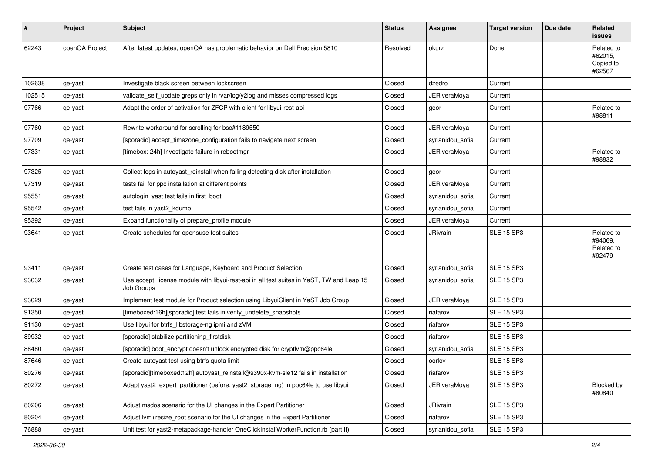| $\vert$ # | Project        | Subject                                                                                                 | <b>Status</b> | <b>Assignee</b>     | <b>Target version</b> | Due date | <b>Related</b><br>issues                      |
|-----------|----------------|---------------------------------------------------------------------------------------------------------|---------------|---------------------|-----------------------|----------|-----------------------------------------------|
| 62243     | openQA Project | After latest updates, openQA has problematic behavior on Dell Precision 5810                            | Resolved      | okurz               | Done                  |          | Related to<br>#62015,<br>Copied to<br>#62567  |
| 102638    | qe-yast        | Investigate black screen between lockscreen                                                             | Closed        | dzedro              | Current               |          |                                               |
| 102515    | qe-yast        | validate_self_update greps only in /var/log/y2log and misses compressed logs                            | Closed        | <b>JERiveraMoya</b> | Current               |          |                                               |
| 97766     | qe-yast        | Adapt the order of activation for ZFCP with client for libyui-rest-api                                  | Closed        | geor                | Current               |          | Related to<br>#98811                          |
| 97760     | qe-yast        | Rewrite workaround for scrolling for bsc#1189550                                                        | Closed        | <b>JERiveraMova</b> | Current               |          |                                               |
| 97709     | qe-yast        | [sporadic] accept_timezone_configuration fails to navigate next screen                                  | Closed        | syrianidou_sofia    | Current               |          |                                               |
| 97331     | qe-yast        | [timebox: 24h] Investigate failure in rebootmgr                                                         | Closed        | <b>JERiveraMoya</b> | Current               |          | Related to<br>#98832                          |
| 97325     | qe-yast        | Collect logs in autoyast reinstall when failing detecting disk after installation                       | Closed        | geor                | Current               |          |                                               |
| 97319     | qe-yast        | tests fail for ppc installation at different points                                                     | Closed        | <b>JERiveraMoya</b> | Current               |          |                                               |
| 95551     | qe-yast        | autologin_yast test fails in first_boot                                                                 | Closed        | syrianidou_sofia    | Current               |          |                                               |
| 95542     | qe-yast        | test fails in yast2 kdump                                                                               | Closed        | syrianidou_sofia    | Current               |          |                                               |
| 95392     | qe-yast        | Expand functionality of prepare_profile module                                                          | Closed        | <b>JERiveraMoya</b> | Current               |          |                                               |
| 93641     | qe-yast        | Create schedules for opensuse test suites                                                               | Closed        | JRivrain            | <b>SLE 15 SP3</b>     |          | Related to<br>#94069,<br>Related to<br>#92479 |
| 93411     | qe-yast        | Create test cases for Language, Keyboard and Product Selection                                          | Closed        | syrianidou_sofia    | <b>SLE 15 SP3</b>     |          |                                               |
| 93032     | qe-yast        | Use accept_license module with libyui-rest-api in all test suites in YaST, TW and Leap 15<br>Job Groups | Closed        | syrianidou sofia    | <b>SLE 15 SP3</b>     |          |                                               |
| 93029     | qe-yast        | Implement test module for Product selection using LibyuiClient in YaST Job Group                        | Closed        | <b>JERiveraMoya</b> | <b>SLE 15 SP3</b>     |          |                                               |
| 91350     | qe-yast        | [timeboxed:16h][sporadic] test fails in verify undelete snapshots                                       | Closed        | riafarov            | <b>SLE 15 SP3</b>     |          |                                               |
| 91130     | qe-yast        | Use libyui for btrfs_libstorage-ng ipmi and zVM                                                         | Closed        | riafarov            | <b>SLE 15 SP3</b>     |          |                                               |
| 89932     | qe-yast        | [sporadic] stabilize partitioning_firstdisk                                                             | Closed        | riafarov            | <b>SLE 15 SP3</b>     |          |                                               |
| 88480     | qe-yast        | [sporadic] boot_encrypt doesn't unlock encrypted disk for cryptlvm@ppc64le                              | Closed        | syrianidou_sofia    | <b>SLE 15 SP3</b>     |          |                                               |
| 87646     | qe-yast        | Create autoyast test using btrfs quota limit                                                            | Closed        | oorlov              | <b>SLE 15 SP3</b>     |          |                                               |
| 80276     | qe-yast        | [sporadic][timeboxed:12h] autoyast_reinstall@s390x-kvm-sle12 fails in installation                      | Closed        | riafarov            | <b>SLE 15 SP3</b>     |          |                                               |
| 80272     | qe-yast        | Adapt yast2_expert_partitioner (before: yast2_storage_ng) in ppc64le to use libyui                      | Closed        | <b>JERiveraMoya</b> | <b>SLE 15 SP3</b>     |          | Blocked by<br>#80840                          |
| 80206     | qe-yast        | Adjust msdos scenario for the UI changes in the Expert Partitioner                                      | Closed        | JRivrain            | <b>SLE 15 SP3</b>     |          |                                               |
| 80204     | qe-yast        | Adjust Ivm+resize root scenario for the UI changes in the Expert Partitioner                            | Closed        | riafarov            | <b>SLE 15 SP3</b>     |          |                                               |
| 76888     | qe-yast        | Unit test for yast2-metapackage-handler OneClickInstallWorkerFunction.rb (part II)                      | Closed        | syrianidou_sofia    | <b>SLE 15 SP3</b>     |          |                                               |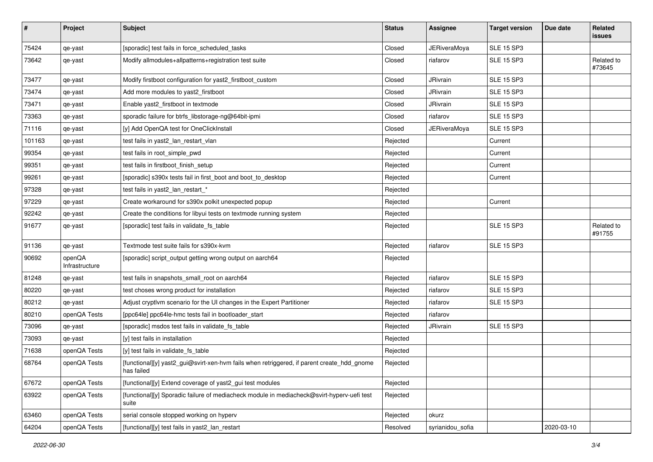| #      | Project                  | <b>Subject</b>                                                                                           | <b>Status</b> | Assignee            | <b>Target version</b> | Due date   | Related<br><b>issues</b> |
|--------|--------------------------|----------------------------------------------------------------------------------------------------------|---------------|---------------------|-----------------------|------------|--------------------------|
| 75424  | qe-yast                  | [sporadic] test fails in force_scheduled_tasks                                                           | Closed        | <b>JERiveraMoya</b> | <b>SLE 15 SP3</b>     |            |                          |
| 73642  | qe-yast                  | Modify allmodules+allpatterns+registration test suite                                                    | Closed        | riafarov            | <b>SLE 15 SP3</b>     |            | Related to<br>#73645     |
| 73477  | qe-yast                  | Modify firstboot configuration for yast2_firstboot_custom                                                | Closed        | JRivrain            | <b>SLE 15 SP3</b>     |            |                          |
| 73474  | qe-yast                  | Add more modules to yast2_firstboot                                                                      | Closed        | JRivrain            | <b>SLE 15 SP3</b>     |            |                          |
| 73471  | qe-yast                  | Enable yast2_firstboot in textmode                                                                       | Closed        | JRivrain            | <b>SLE 15 SP3</b>     |            |                          |
| 73363  | qe-yast                  | sporadic failure for btrfs_libstorage-ng@64bit-ipmi                                                      | Closed        | riafarov            | <b>SLE 15 SP3</b>     |            |                          |
| 71116  | qe-yast                  | [y] Add OpenQA test for OneClickInstall                                                                  | Closed        | <b>JERiveraMoya</b> | <b>SLE 15 SP3</b>     |            |                          |
| 101163 | qe-yast                  | test fails in yast2_lan_restart_vlan                                                                     | Rejected      |                     | Current               |            |                          |
| 99354  | qe-yast                  | test fails in root_simple_pwd                                                                            | Rejected      |                     | Current               |            |                          |
| 99351  | qe-yast                  | test fails in firstboot_finish_setup                                                                     | Rejected      |                     | Current               |            |                          |
| 99261  | qe-yast                  | [sporadic] s390x tests fail in first_boot and boot_to_desktop                                            | Rejected      |                     | Current               |            |                          |
| 97328  | qe-yast                  | test fails in yast2_lan_restart_*                                                                        | Rejected      |                     |                       |            |                          |
| 97229  | qe-yast                  | Create workaround for s390x polkit unexpected popup                                                      | Rejected      |                     | Current               |            |                          |
| 92242  | qe-yast                  | Create the conditions for libyui tests on textmode running system                                        | Rejected      |                     |                       |            |                          |
| 91677  | qe-yast                  | [sporadic] test fails in validate_fs_table                                                               | Rejected      |                     | <b>SLE 15 SP3</b>     |            | Related to<br>#91755     |
| 91136  | qe-yast                  | Textmode test suite fails for s390x-kvm                                                                  | Rejected      | riafarov            | <b>SLE 15 SP3</b>     |            |                          |
| 90692  | openQA<br>Infrastructure | [sporadic] script_output getting wrong output on aarch64                                                 | Rejected      |                     |                       |            |                          |
| 81248  | qe-yast                  | test fails in snapshots_small_root on aarch64                                                            | Rejected      | riafarov            | <b>SLE 15 SP3</b>     |            |                          |
| 80220  | qe-yast                  | test choses wrong product for installation                                                               | Rejected      | riafarov            | <b>SLE 15 SP3</b>     |            |                          |
| 80212  | qe-yast                  | Adjust cryptlvm scenario for the UI changes in the Expert Partitioner                                    | Rejected      | riafarov            | <b>SLE 15 SP3</b>     |            |                          |
| 80210  | openQA Tests             | [ppc64le] ppc64le-hmc tests fail in bootloader_start                                                     | Rejected      | riafarov            |                       |            |                          |
| 73096  | qe-yast                  | [sporadic] msdos test fails in validate_fs_table                                                         | Rejected      | JRivrain            | <b>SLE 15 SP3</b>     |            |                          |
| 73093  | qe-yast                  | [y] test fails in installation                                                                           | Rejected      |                     |                       |            |                          |
| 71638  | openQA Tests             | [y] test fails in validate_fs_table                                                                      | Rejected      |                     |                       |            |                          |
| 68764  | openQA Tests             | [functional][y] yast2_gui@svirt-xen-hvm fails when retriggered, if parent create_hdd_gnome<br>has failed | Rejected      |                     |                       |            |                          |
| 67672  | openQA Tests             | [functional][y] Extend coverage of yast2_gui test modules                                                | Rejected      |                     |                       |            |                          |
| 63922  | openQA Tests             | [functional][y] Sporadic failure of mediacheck module in mediacheck@svirt-hyperv-uefi test<br>suite      | Rejected      |                     |                       |            |                          |
| 63460  | openQA Tests             | serial console stopped working on hyperv                                                                 | Rejected      | okurz               |                       |            |                          |
| 64204  | openQA Tests             | [functional][y] test fails in yast2_lan_restart                                                          | Resolved      | syrianidou_sofia    |                       | 2020-03-10 |                          |